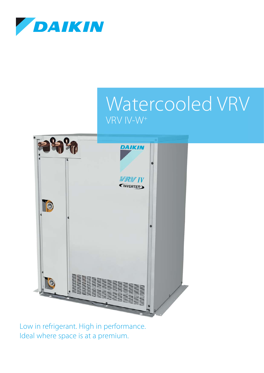

# Watercooled VRV VRV IV-W+



Low in refrigerant. High in performance. Ideal where space is at a premium.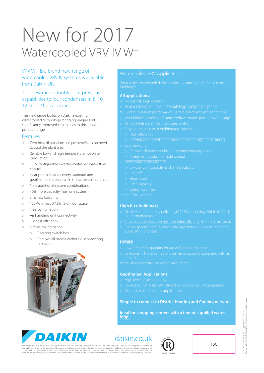# New for 2017 Watercooled VRV IV W+

### VRV W+ is a brand new range of watercooled VRV IV systems is available from Daikin UK.

### This new range doubles our previous capabilities to four condensers in 8, 10, 12 and 14hp capacities.

This new range builds on Daikin's existing watercooled technology, bringing unique and significantly improved capabilities to this growing product range.

### Features

- Zero heat dissipation: unique benefit, as no need to cool the plant area
- Reliable low and high temperature hot water production
- > Fully configurable inverter controlled water flow control
- > Heat pump, heat recovery, standard and geothermal models - all in the same unified unit.
- > Nine additional system combinations
- > 40% more capacity from one system
- > Smallest footprint
- > 120kW in just 0.429m2 of floor space
- > Free combination
- > Air handling unit connectivity
- > Highest efficiency
- > Simple maintenance:
	- > Rotating switch box
	- > Remove all panels without disconnecting pipework





### **All applications:**

- 
- 
- 
- 
- 
- -
	-
- 
- 
- 
- -
	-
	-
- 
- 
- 

### **High Rise buildings:**

- 
- 
- 

### **Hotels:**

- 
- Save over 1.1kg of refrigerant per hp of capacity compared with air cooled
- 

### **Geothermal Applications:**

- 
- 
- 

### **Simple to connect to District Heating and Cooling networks**

**Ideal for shopping centers with a tenant supplied water loop.**

# daikin.co.uk



FSC

The present leaftet is drawn up by way of information only and does not constitute an offer bine make that wis<br>this leaftet to the best of its knowledge. No express or implied warranty is given for the completences accurac

KEPCEN17-1036 / 10.17 / Copyright 2017 Daikin<br>rinted in the UK on FSC certified paper from sustainable sources Printed in the UK on FSC certified paper from sustainable sourcesUKEPCEN17-1036 / 10.17 / Copyright 2017 Daikin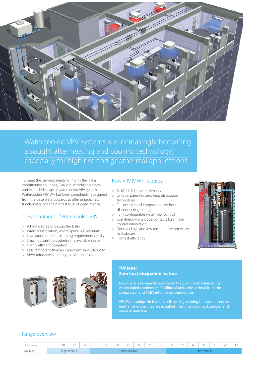

Watercooled VRV systems are increasingly becoming a sought after heating and cooling technology, especially for high rise and geothermal applications.

To meet the growing needs for highly flexible air conditioning solutions, Daikin is introducing a new and extended range of watercooled VRV systems. Watercooled VRV W+ has been completely redesigned from the base plate upwards to offer unique, new functionality and the highest level of performance.

### The advantages of Watercooled VRV:

- $>$  A high degree of design flexibility
- > Internal installation, where space is a premium
- > Low sound to meet planning requirements easily
- > Small footprint to optimise the available space
- > Highly efficient operation
- > Less refrigerant than an equivalent air cooled VRV
- > Meet refrigerant quantity legislation easily.



### New VRV IV W+ features:

- > 8, 10, 12 & 14hp condensers
- > Unique, patented zero heat dissipation technology
- > Full access to all components without disconnecting piping
- > Fully configurable water flow control
- > User-friendly analogue contacts for simple control integration
- > Connect high and low temperature hot water hydroboxes
- > Highest efficiency



### **\*Unique: Zero heat dissipation feature**

Now there is no need to cool down the plant room when using compressor and PCB's into the surrounding air.

VRV W+ is unique in that it is self-cooling, making the condensers heat neutral wherever they are installed, meaning lower cost, quicker and

### Range overview

| dorsepower |                                                        | 1 <sub>0</sub><br>ı U. | <b>_</b> |  |  | 10 | 20 | $\sim$ $\sim$<br>$-$ | $\sim$ $\sim$<br>$\angle 4$ | $\sim$<br>20 | $\cap$<br>20     | $\sim$ $\sim$<br>$\sim$ | $\sim$ $\sim$<br>ےر | $\sim$ $\sim$<br>- 4<br>$\overline{\phantom{a}}$ | $\sim$ $\sim$<br>÷<br>эc | $\sim$ $\sim$<br>-- | 40 | $-$ |
|------------|--------------------------------------------------------|------------------------|----------|--|--|----|----|----------------------|-----------------------------|--------------|------------------|-------------------------|---------------------|--------------------------------------------------|--------------------------|---------------------|----|-----|
| VRV IV W   | Single module<br><b>IDIP</b><br>module<br>$\mathbf{v}$ |                        |          |  |  |    |    |                      |                             |              | <b>The State</b> | ribie<br>: mouure       |                     |                                                  |                          |                     |    |     |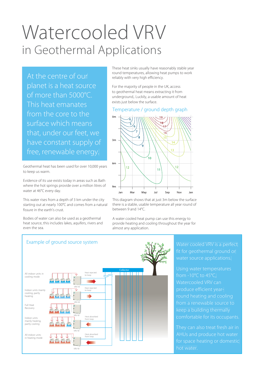# Watercooled VRV in Geothermal Applications

At the centre of our planet is a heat source of more than 5000°C. This heat emanates from the core to the surface which means that, under our feet, we have constant supply of free, renewable energy.

Geothermal heat has been used for over 10,000 years to keep us warm.

Evidence of its use exists today in areas such as Bath where the hot springs provide over a million litres of water at 46°C every day.

This water rises from a depth of 3 km under the city starting out at nearly 100°C and comes from a natural fissure in the earth's crust.

Bodies of water can also be used as a geothermal heat source, this includes lakes, aquifers, rivers and even the sea.



For the majority of people in the UK, access to geothermal heat means extracting it from underground,. Luckily, a usable amount of heat exists just below the surface.

### Temperature / ground depth graph



This diagram shows that at just 3m below the surface there is a stable, usable temperature all year round of between 9 and 14°C.

A water cooled heat pump can use this energy to provide heating and cooling throughout the year for almost any application.



fit for geothermal ground or

from -10°C to 45°C, Watercooled VRV can produce efficient yearfrom a renewable source to comfortable for its occupants.

They can also treat fresh air in AHUs and produce hot water hot water.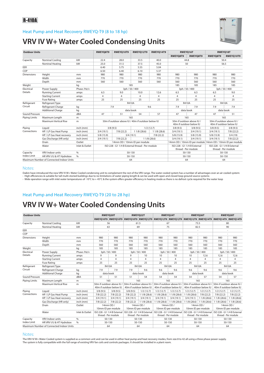### Heat Pump and Heat Recovery RWEYQ-T9 (8 to 18 hp)



### **VRV IV W+ Water Cooled Condensing Units**

| <b>Outdoor Units</b>                     |                                          |                              | RWEYO8T9                     | RWEYO10T9                                         | RWEYO12T9                    | RWEYO14T9      |                | RWEYO16T                    | RWEYO18T                  |                                                           |  |
|------------------------------------------|------------------------------------------|------------------------------|------------------------------|---------------------------------------------------|------------------------------|----------------|----------------|-----------------------------|---------------------------|-----------------------------------------------------------|--|
|                                          |                                          |                              |                              |                                                   |                              |                | RWEYO8T9       | <b>RWEYO8T9</b>             | RWEYO8T9                  | RWEYO10T9                                                 |  |
| kW<br><b>Nominal Cooling</b><br>Capacity |                                          | 22.4<br>28.0<br>33.5<br>40.0 |                              |                                                   |                              |                | 44.8           | 50.4                        |                           |                                                           |  |
|                                          | Nominal Heating                          | kW                           | 25.0<br>31.5<br>37.5<br>45.0 |                                                   |                              |                |                | 50                          | 56.5                      |                                                           |  |
| EER                                      |                                          |                              | 5.75<br>6.40<br>5.55<br>5.04 |                                                   |                              | $\sim$         | $\bar{a}$      |                             |                           |                                                           |  |
| COP                                      |                                          |                              | 6.50<br>6.40                 |                                                   | 6.10                         | 5.37           |                |                             | ÷,                        |                                                           |  |
| <b>Dimensions</b>                        | Height                                   | mm                           | 980                          | 980                                               | 980                          | 980            | 980            | 980                         | 980                       | 980                                                       |  |
|                                          | Width                                    | mm                           | 770                          | 770                                               | 770                          | 770            | 770            | 770                         | 770                       | 770                                                       |  |
|                                          | Depth                                    | mm                           | 560<br>560                   |                                                   | 560                          | 560            | 560            | 560                         | 560                       | 560                                                       |  |
| Weight                                   |                                          | kg                           |                              |                                                   | 185                          |                | 185            | 185                         | 185                       | 185                                                       |  |
| Electrical                               | Power Supply                             | Phase /Hz/v                  |                              |                                                   | 3ph / 50 / 400               |                |                | 3ph / 50 / 400              | 3ph / 50 / 400            |                                                           |  |
| Details                                  | <b>Running Current</b>                   | amps                         | 6.5                          | 9.0                                               | 10.0                         | 12.6           | 6.5            | 6.5                         | 6.5                       | 9.0                                                       |  |
|                                          | <b>Starting Current</b>                  | amps                         | $\overline{4}$               | $\overline{4}$                                    | $\overline{4}$               | $\overline{4}$ | $\overline{4}$ | $\overline{4}$              | $\overline{4}$            | $\overline{4}$                                            |  |
|                                          | <b>Fuse Rating</b>                       | amps                         | 25                           | 25                                                | 25                           | 25             | 25             | 25                          | 25                        | 25                                                        |  |
| Refrigerant                              | Refrigerant Type                         |                              |                              |                                                   | R410A                        |                |                | <b>R410A</b>                |                           | <b>R410A</b>                                              |  |
| Circuit                                  | Refrigerant Charge<br>kg                 |                              |                              | 7.9                                               |                              | 9.6            | 7.9            | 7.9                         | 7.9                       | 7.9                                                       |  |
|                                          | <b>Additional Charge</b>                 | kg                           |                              |                                                   | data book                    |                |                | data book                   |                           | data book                                                 |  |
| Sound Pressure                           |                                          | dBA                          | 47                           | 51                                                | 54                           | 57             | 47             | 47                          | 47                        | 51                                                        |  |
| <b>Piping Limits</b>                     | Maximum Length<br>m                      |                              |                              |                                                   | 165                          |                |                | 165                         | 165                       |                                                           |  |
|                                          | Maximum Vertical Rise<br>m               |                              |                              | 50m if outdoor above IU / 40m if outdoor below IU |                              |                |                | 50m if outdoor above IU /   | 50m if outdoor above IU / |                                                           |  |
|                                          |                                          |                              |                              |                                                   |                              |                |                | 40m if outdoor below IU     |                           | 40m if outdoor below IU                                   |  |
| Piping                                   | Liquid                                   | inch (mm)                    |                              | 3/8(9.5)                                          |                              | 1/2(12.7)      | 3/8(9.5)       | 3/8(9.5)                    | 3/8(9.5)                  | 3/8(9.5)                                                  |  |
| Connections                              | HP / LP Gas Heat Pump                    | inch (mm)                    | 3/4(19.1)                    | 7/8(22.2)                                         | 11/8(28.6)                   | 11/8(28.6)     | 3/4(19.1)      | 3/4(19.1)                   | 3/4(19.1)                 | 7/8(22.2)                                                 |  |
|                                          | HP / LP Gas Heat recovery                | inch (mm)                    | 5/8(15.9)                    |                                                   | 3/4(19.1)                    | 7/8(22.2)      | 5/8(15.9)      | 5/8(15.9)                   | 5/8(15.9)                 | 3/4(19)                                                   |  |
|                                          | Gas Discharge (HR only)                  | inch (mm)                    | 3/4(19.1)                    | 7/8(22.2)                                         |                              | 1 1/8 (28.6)   | 3/4(19.1)      | 3/4(19.1)                   | 3/4(19.1)                 | 7/8(22.2)                                                 |  |
|                                          | Drain                                    | Outlet                       |                              |                                                   | 14mm OD / 10mm ID per module |                |                |                             |                           | 14mm OD / 10mm ID per module 14mm OD / 10mm ID per module |  |
|                                          | Water                                    | Inlet & Outlet               |                              | ISO 228 - G1 1/4 B External thread - Per module   |                              |                |                | ISO 228 - G1 1/4 B External |                           | ISO 228 - G1 1/4 B External                               |  |
|                                          |                                          |                              |                              |                                                   |                              |                |                | thread - Per module         | thread - Per module       |                                                           |  |
| Capacity                                 | VRV Indoor units                         | $\%$                         |                              |                                                   | 50-130                       |                |                | 50-130                      | 50-130                    |                                                           |  |
| <b>Index Limit</b>                       | HR VRV I/U & HT Hydrobox                 | $\%$                         |                              |                                                   | 50-150                       |                |                | 50-150                      |                           | 50-150                                                    |  |
|                                          | Maximum Number of Connected Indoor Units |                              |                              |                                                   | 64                           |                |                | 64                          |                           | 64                                                        |  |

### Notes:

Daikin have introduced the new VRV IV W+ Water Cooled condensing unit to complement the rest of the VRV range. The water cooled system has a number of advantages over an air cooled system:

› High efficiencies & suitable for tall multi-storied buildings due to no limitations of water piping length & can be used with open and closed loop ground source systems<br>› Wide operation range with inlet water temperatur

### Heat Pump and Heat Recovery RWEYQ-T9 (20 to 28 hp)

## **VRV IV W+ Water Cooled Condensing Units**

| <b>Outdoor Units</b>                     |                                   |                | RWEYQ20T                                             |                    | <b>RWEYO22T</b>                                      |                             | RWEYO24T                    |                            | RWEYQ26T                | RWEYQ28T                                                                                            |                                                                                                          |                |  |
|------------------------------------------|-----------------------------------|----------------|------------------------------------------------------|--------------------|------------------------------------------------------|-----------------------------|-----------------------------|----------------------------|-------------------------|-----------------------------------------------------------------------------------------------------|----------------------------------------------------------------------------------------------------------|----------------|--|
|                                          |                                   |                |                                                      |                    |                                                      |                             |                             |                            |                         | RWEYQ10T9 RWEYQ10T9 RWEYQ10T9 RWEYQ12T9 RWEYQ12T9 RWEYQ12T9 RWEYQ12T9 RWEYQ14T9 RWEYQ14T9 RWEYQ14T9 |                                                                                                          |                |  |
| kW<br><b>Nominal Cooling</b><br>Capacity |                                   | 56             |                                                      | 61.5               |                                                      | 67                          |                             | 73.5                       |                         | 80                                                                                                  |                                                                                                          |                |  |
|                                          | Nominal Heating                   | kW             | 63                                                   |                    | 69                                                   |                             | 75                          |                            | 82.5                    |                                                                                                     | 90                                                                                                       |                |  |
| EER                                      |                                   |                | $\overline{\phantom{a}}$                             |                    |                                                      |                             |                             | $\sim$                     |                         |                                                                                                     |                                                                                                          | $\sim$         |  |
| COP                                      |                                   |                |                                                      |                    |                                                      |                             |                             |                            |                         |                                                                                                     |                                                                                                          |                |  |
| <b>Dimensions</b>                        | Height                            | mm             | 980                                                  | 980                | 980                                                  | 980                         | 980                         | 980                        | 980                     | 980                                                                                                 | 980                                                                                                      | 980            |  |
|                                          | Width                             | mm             | 770                                                  | 770                | 770                                                  | 770                         | 770                         | 770                        | 770                     | 770                                                                                                 | 770                                                                                                      | 770            |  |
|                                          | Depth                             | mm             | 560                                                  | 560                | 560                                                  | 560                         | 560                         | 560                        | 560                     | 560                                                                                                 | 560                                                                                                      | 560            |  |
| Weight                                   |                                   | kq             | 185                                                  | 185                | 185                                                  | 185                         | 185                         | 185                        | 185                     | 185                                                                                                 | 185                                                                                                      | 185            |  |
| Electrical                               | Phase /Hz/v<br>Power Supply       |                | 3ph / 50 / 400                                       |                    | 3ph / 50 / 400                                       |                             | 3ph / 50 / 400              |                            | 3ph / 50 / 400          |                                                                                                     | 3ph / 50 / 400                                                                                           |                |  |
| Details                                  | <b>Running Current</b>            | amps           | 9                                                    | 9                  | 9                                                    | 10                          | 10                          | 10                         | 10                      | 12.6                                                                                                | 12.6                                                                                                     | 12.6           |  |
|                                          | <b>Starting Current</b>           | amps           | $\overline{4}$                                       | 4                  | 4                                                    | 4                           | $\overline{4}$              | 4                          | 4                       | 4                                                                                                   | $\overline{4}$                                                                                           | $\overline{4}$ |  |
|                                          | <b>Fuse Rating</b>                | amps           | 25                                                   | 25                 | 25                                                   | 25                          | 25                          | 25                         | 25                      | 25                                                                                                  | 25                                                                                                       | 25             |  |
| Refrigerant                              | <b>Refrigerant Type</b>           |                |                                                      | R410A              | <b>R410A</b>                                         |                             |                             | <b>R410A</b>               |                         | <b>R410A</b>                                                                                        |                                                                                                          | <b>R410A</b>   |  |
| Circuit                                  | Refrigerant Charge                | kq             | 7.9                                                  | 7.9                | 7.9                                                  | 9.6                         | 9.6                         | 9.6                        | 9.6                     | 9.6                                                                                                 | 9.6                                                                                                      | 9.6            |  |
|                                          | <b>Additional Charge</b><br>kg    |                | data book                                            |                    | data book                                            |                             |                             | data book                  |                         | data book                                                                                           |                                                                                                          | data book      |  |
| Sound Pressure                           |                                   | dBA            | 51                                                   | 51                 | 51                                                   | 54                          | 54                          | 54                         | 54                      | 57                                                                                                  | 54                                                                                                       | 57             |  |
| <b>Piping Limits</b>                     | Maximum Length<br>m               |                | 165                                                  |                    | 165                                                  |                             |                             | 165                        |                         | 165                                                                                                 | 165                                                                                                      |                |  |
|                                          | <b>Maximum Vertical Rise</b><br>m |                | 50m if outdoor above IU /<br>40m if outdoor below IU |                    | 50m if outdoor above IU /<br>40m if outdoor below IU |                             | 40m if outdoor below IU     |                            | 40m if outdoor below IU |                                                                                                     | 50m if outdoor above IU / 50m if outdoor above IU / 50m if outdoor above IU /<br>40m if outdoor below IU |                |  |
|                                          |                                   |                |                                                      |                    |                                                      |                             |                             |                            |                         |                                                                                                     |                                                                                                          |                |  |
| Piping                                   | Liauid                            | inch (mm)      | 3/8(9.5)                                             | 3/8(9.5)           | 3/8(9.5)                                             | 1/2(12.7)                   | 1/2(12.7)                   | 1/2(12.7)                  | 1/2(12.7)               | 1/2(12.7)                                                                                           | 1/2(12.7)                                                                                                | 1/2(12.7)      |  |
| Connections                              | HP / LP Gas Heat Pump             | inch (mm)      | 7/8(22.2)                                            | 7/8(22.2)          | 7/8(22.2)                                            | 11/8(28.6)                  | 11/8(28.6)                  | 11/8(28.6)                 | 11/8(28.6)              | 7/8(22.2)                                                                                           | 7/8(22.2)                                                                                                | 7/8(22.2)      |  |
|                                          | HP / LP Gas Heat recovery         | inch (mm)      | 3/4(19.1)                                            | 3/4(19.1)          | 3/4(19.1)                                            | 3/4(19.1)                   | 3/4(19.1)                   | 3/4(19.1)                  | 3/4(19.1)               | 11/8(28.6)                                                                                          | 11/8(28.6)                                                                                               | 11/8(28.6)     |  |
|                                          | Gas Discharge (HR only)           | inch (mm)      | 7/8(22.2)                                            | 7/8(22.2)          | 7/8(22.2)                                            | 11/8(28.6)                  |                             | $11/8(28.6)$   11/8 (28.6) | 11/8(28.6)              | 11/8(28.6)                                                                                          | 11/8(28.6)                                                                                               | 11/8(28.6)     |  |
|                                          | Drain                             | Outlet         |                                                      | 14mm OD /          |                                                      | 14mm OD /                   |                             | 14mm OD /                  |                         | 14mm OD /                                                                                           | 14mm OD /                                                                                                |                |  |
|                                          |                                   |                |                                                      | 10mm ID per module |                                                      | 10mm ID per module          |                             | 10mm ID per module         |                         | 10mm ID per module                                                                                  | 10mm ID per module                                                                                       |                |  |
|                                          | Water                             | Inlet & Outlet | ISO 228 - G1 1/4 B External                          |                    |                                                      | ISO 228 - G1 1/4 B External | ISO 228 - G1 1/4 B External |                            |                         |                                                                                                     | ISO 228 - G1 1/4 B External   ISO 228 - G1 1/4 B External                                                |                |  |
|                                          |                                   |                | thread - Per module                                  |                    | thread - Per module                                  |                             | thread - Per module         |                            | thread - Per module     |                                                                                                     | thread - Per module                                                                                      |                |  |
| Capacity                                 | <b>VRV</b> Indoor units           | $\%$           | 50-130                                               |                    | 50-130                                               |                             | 50-130                      |                            | 50-130                  |                                                                                                     | 50-130                                                                                                   |                |  |
| <b>Index Limit</b>                       | HR VRV I/U & HT Hvdrobox          | %              |                                                      | 50-150             |                                                      | 50-150                      |                             | 50-150                     |                         | 50-150                                                                                              | 50-150                                                                                                   |                |  |
| Maximum Number of Connected Indoor Units |                                   |                | 64                                                   |                    |                                                      | 64                          | 64                          |                            | 64                      |                                                                                                     | 64                                                                                                       |                |  |

#### Notes:

The VRV IV W+ Water Cooled system is supplied as a common unit and can be used in either heat pump and heat recovery modes, from size 8 to 42 all using a three phase power supply.<br>The system is fully compatible with the fu